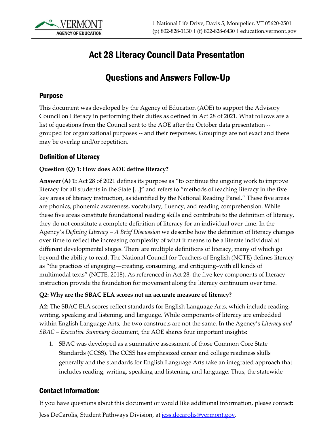

# Act 28 Literacy Council Data Presentation

# Questions and Answers Follow-Up

#### Purpose

This document was developed by the Agency of Education (AOE) to support the Advisory Council on Literacy in performing their duties as defined in Act 28 of 2021. What follows are a list of questions from the Council sent to the AOE after the October data presentation - grouped for organizational purposes -- and their responses. Groupings are not exact and there may be overlap and/or repetition.

#### Definition of Literacy

#### **Question (Q) 1: How does AOE define literacy?**

**Answer (A) 1:** Act 28 of 2021 defines its purpose as "to continue the ongoing work to improve literacy for all students in the State [...]" and refers to "methods of teaching literacy in the five key areas of literacy instruction, as identified by the National Reading Panel." These five areas are phonics, phonemic awareness, vocabulary, fluency, and reading comprehension. While these five areas constitute foundational reading skills and contribute to the definition of literacy, they do not constitute a complete definition of literacy for an individual over time. In the Agency's *Defining Literacy – A Brief Discussion* we describe how the definition of literacy changes over time to reflect the increasing complexity of what it means to be a literate individual at different developmental stages. There are multiple definitions of literacy, many of which go beyond the ability to read. The National Council for Teachers of English (NCTE) defines literacy as "the practices of engaging—creating, consuming, and critiquing–with all kinds of multimodal texts" (NCTE, 2018). As referenced in Act 28, the five key components of literacy instruction provide the foundation for movement along the literacy continuum over time.

#### **Q2: Why are the SBAC ELA scores not an accurate measure of literacy?**

**A2**: The SBAC ELA scores reflect standards for English Language Arts, which include reading, writing, speaking and listening, and language. While components of literacy are embedded within English Language Arts, the two constructs are not the same. In the Agency's *Literacy and SBAC – Executive Summary* document, the AOE shares four important insights:

1. SBAC was developed as a summative assessment of those Common Core State Standards (CCSS). The CCSS has emphasized career and college readiness skills generally and the standards for English Language Arts take an integrated approach that includes reading, writing, speaking and listening, and language. Thus, the statewide

### Contact Information:

If you have questions about this document or would like additional information, please contact: Jess DeCarolis, Student Pathways Division, at [jess.decarolis@vermont.gov.](mailto:jess.decarolis@vermont.gov)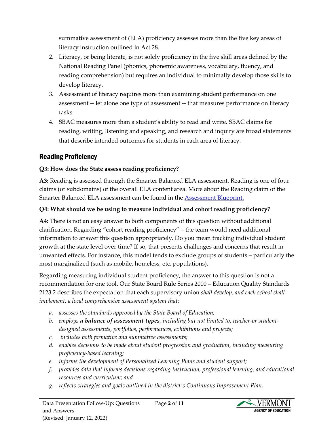summative assessment of (ELA) proficiency assesses more than the five key areas of literacy instruction outlined in Act 28.

- 2. Literacy, or being literate, is not solely proficiency in the five skill areas defined by the National Reading Panel (phonics, phonemic awareness, vocabulary, fluency, and reading comprehension) but requires an individual to minimally develop those skills to develop literacy.
- 3. Assessment of literacy requires more than examining student performance on one assessment -- let alone one type of assessment -- that measures performance on literacy tasks.
- 4. SBAC measures more than a student's ability to read and write. SBAC claims for reading, writing, listening and speaking, and research and inquiry are broad statements that describe intended outcomes for students in each area of literacy.

# Reading Proficiency

### **Q3: How does the State assess reading proficiency?**

**A3:** Reading is assessed through the Smarter Balanced ELA assessment. Reading is one of four claims (or subdomains) of the overall ELA content area. More about the Reading claim of the Smarter Balanced ELA assessment can be found in the [Assessment Blueprint.](https://portal.smarterbalanced.org/library/en/elaliteracy-summative-assessment-blueprint.pdf)

#### **Q4: What should we be using to measure individual and cohort reading proficiency?**

**A4:** There is not an easy answer to both components of this question without additional clarification. Regarding "cohort reading proficiency" – the team would need additional information to answer this question appropriately. Do you mean tracking individual student growth at the state level over time? If so, that presents challenges and concerns that result in unwanted effects. For instance, this model tends to exclude groups of students – particularly the most marginalized (such as mobile, homeless, etc. populations).

Regarding measuring individual student proficiency, the answer to this question is not a recommendation for one tool. Our State Board Rule Series 2000 – Education Quality Standards 2123.2 describes the expectation that each supervisory union *shall develop, and each school shall implement, a local comprehensive assessment system that:*

- *a. assesses the standards approved by the State Board of Education;*
- *b. employs a balance of assessment types, including but not limited to, teacher-or studentdesigned assessments, portfolios, performances, exhibitions and projects;*
- *c. includes both formative and summative assessments;*
- *d. enables decisions to be made about student progression and graduation, including measuring proficiency-based learning;*
- *e. informs the development of Personalized Learning Plans and student support;*
- *f. provides data that informs decisions regarding instruction, professional learning, and educational resources and curriculum; and*
- *g. reflects strategies and goals outlined in the district's Continuous Improvement Plan.*

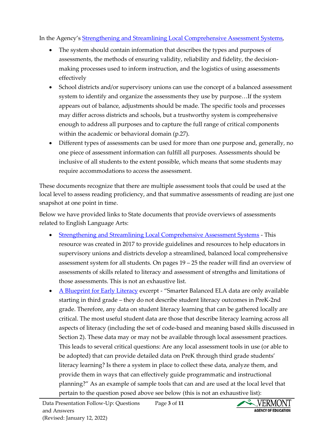In the Agency's [Strengthening and Streamlining Local Comprehensive Assessment](https://education.vermont.gov/documents/strengthening-and-streamlining-local-comprehensive-assessment-systems) Systems,

- The system should contain information that describes the types and purposes of assessments, the methods of ensuring validity, reliability and fidelity, the decisionmaking processes used to inform instruction, and the logistics of using assessments effectively
- School districts and/or supervisory unions can use the concept of a balanced assessment system to identify and organize the assessments they use by purpose…If the system appears out of balance, adjustments should be made. The specific tools and processes may differ across districts and schools, but a trustworthy system is comprehensive enough to address all purposes and to capture the full range of critical components within the academic or behavioral domain (p.27).
- Different types of assessments can be used for more than one purpose and, generally, no one piece of assessment information can fulfill all purposes. Assessments should be inclusive of all students to the extent possible, which means that some students may require accommodations to access the assessment.

These documents recognize that there are multiple assessment tools that could be used at the local level to assess reading proficiency, and that summative assessments of reading are just one snapshot at one point in time.

Below we have provided links to State documents that provide overviews of assessments related to English Language Arts:

- [Strengthening and Streamlining Local Comprehensive Assessment Systems](https://education.vermont.gov/documents/strengthening-and-streamlining-local-comprehensive-assessment-systems) This resource was created in 2017 to provide guidelines and resources to help educators in supervisory unions and districts develop a streamlined, balanced local comprehensive assessment system for all students. On pages 19 – 25 the reader will find an overview of assessments of skills related to literacy and assessment of strengths and limitations of those assessments. This is not an exhaustive list.
- [A Blueprint for Early Literacy](https://education.vermont.gov/documents/edu-a-blueprint-for-early-literacy-comprehensive-system-of-services-prek-through-third-grade) excerpt "Smarter Balanced ELA data are only available starting in third grade – they do not describe student literacy outcomes in PreK-2nd grade. Therefore, any data on student literacy learning that can be gathered locally are critical. The most useful student data are those that describe literacy learning across all aspects of literacy (including the set of code-based and meaning based skills discussed in Section 2). These data may or may not be available through local assessment practices. This leads to several critical questions: Are any local assessment tools in use (or able to be adopted) that can provide detailed data on PreK through third grade students' literacy learning? Is there a system in place to collect these data, analyze them, and provide them in ways that can effectively guide programmatic and instructional planning?" As an example of sample tools that can and are used at the local level that pertain to the question posed above see below (this is not an exhaustive list):

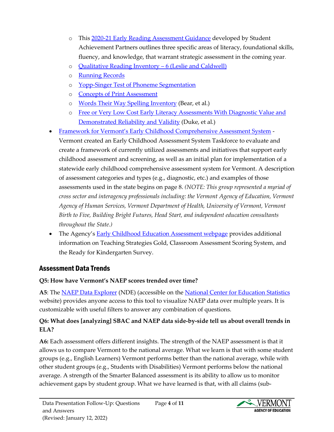- o This [2020-21 Early Reading Assessment Guidance](https://achievethecore.org/page/3296/2020-21-early-reading-assessment-guidance) developed by Student Achievement Partners outlines three specific areas of literacy, foundational skills, fluency, and knowledge, that warrant strategic assessment in the coming year.
- o [Qualitative Reading Inventory](https://www.pearson.com/store/p/qualitative-reading-inventory/P100002458335/9780134161471)  6 (Leslie and Caldwell)
- o [Running Records](https://ies.ed.gov/ncee/edlabs/regions/midwest/pdf/eventslides/running-records-training-1-508.pdf)
- o Yopp-Singer Test of [Phoneme Segmentation](https://tsihly.files.wordpress.com/2018/11/yopp_singer_phoneme_segmentation_test.pdf)
- o Concepts [of Print Assessment](https://www.readingrockets.org/sites/default/files/Concepts-of-Print-Assessment-2.pdf)
- o [Words Their Way Spelling Inventory](https://www.pearson.com/store/en-us/pearsonplus/p/9780135719978.html) (Bear, et al.)
- o [Free or Very Low Cost Early Literacy Assessments](https://www.michigan.gov/documents/mde/Free_and_Very_Low_Cost_Assessments_FINAL_3-23-18_621439_7.pdf) With Diagnostic Value and [Demonstrated Reliability and Validity](https://www.michigan.gov/documents/mde/Free_and_Very_Low_Cost_Assessments_FINAL_3-23-18_621439_7.pdf) (Duke, et al.)
- Framework for Vermont's [Early Childhood Comprehensive Assessment System](https://education.vermont.gov/documents/edu-framework-for-vermonts-early-childhood-comprehensive-assessment-system) Vermont created an Early Childhood Assessment System Taskforce to evaluate and create a framework of currently utilized assessments and initiatives that support early childhood assessment and screening, as well as an initial plan for implementation of a statewide early childhood comprehensive assessment system for Vermont. A description of assessment categories and types (e.g., diagnostic, etc.) and examples of those assessments used in the state begins on page 8. *(NOTE: This group represented a myriad of cross sector and interagency professionals including: the Vermont Agency of Education, Vermont Agency of Human Services, Vermont Department of Health, University of Vermont, Vermont Birth to Five, Building Bright Futures, Head Start, and independent education consultants throughout the State.)*
- The Agency's **[Early Childhood Education Assessment webpage](https://education.vermont.gov/student-support/early-education/assessment) provides additional** information on Teaching Strategies Gold, Classroom Assessment Scoring System, and the Ready for Kindergarten Survey.

# Assessment Data Trends

# **Q5: How have Vermont's NAEP scores trended over time?**

**A5**: Th[e NAEP Data Explorer](https://www.nationsreportcard.gov/ndecore/landing) (NDE) (accessible on the [National Center for Education Statistics](https://nces.ed.gov/nationsreportcard/data/) website) provides anyone access to this tool to visualize NAEP data over multiple years. It is customizable with useful filters to answer any combination of questions.

# **Q6: What does [analyzing] SBAC and NAEP data side-by-side tell us about overall trends in ELA?**

**A6:** Each assessment offers different insights. The strength of the NAEP assessment is that it allows us to compare Vermont to the national average. What we learn is that with some student groups (e.g., English Learners) Vermont performs better than the national average, while with other student groups (e.g., Students with Disabilities) Vermont performs below the national average. A strength of the Smarter Balanced assessment is its ability to allow us to monitor achievement gaps by student group. What we have learned is that, with all claims (sub-

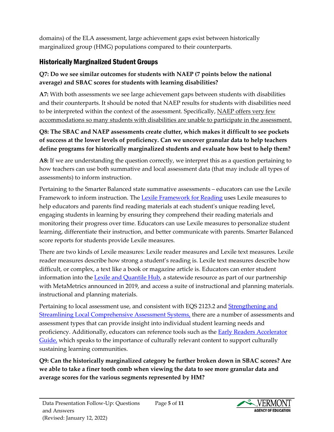domains) of the ELA assessment, large achievement gaps exist between historically marginalized group (HMG) populations compared to their counterparts.

# Historically Marginalized Student Groups

#### **Q7: Do we see similar outcomes for students with NAEP (7 points below the national average) and SBAC scores for students with learning disabilities?**

**A7:** With both assessments we see large achievement gaps between students with disabilities and their counterparts. It should be noted that NAEP results for students with disabilities need to be interpreted within the context of the assessment. Specifically, NAEP offers very few accommodations so many students with disabilities are unable to participate in the assessment.

#### **Q8: The SBAC and NAEP assessments create clutter, which makes it difficult to see pockets of success at the lower levels of proficiency. Can we uncover granular data to help teachers define programs for historically marginalized students and evaluate how best to help them?**

**A8:** If we are understanding the question correctly, we interpret this as a question pertaining to how teachers can use both summative and local assessment data (that may include all types of assessments) to inform instruction.

Pertaining to the Smarter Balanced state summative assessments – educators can use the Lexile Framework to inform instruction. The [Lexile Framework for Reading](https://education.vermont.gov/student-learning/lexile-and-quantile-frameworks#lexile) uses Lexile measures to help educators and parents find reading materials at each student's unique reading level, engaging students in learning by ensuring they comprehend their reading materials and monitoring their progress over time. Educators can use Lexile measures to personalize student learning, differentiate their instruction, and better communicate with parents. Smarter Balanced score reports for students provide Lexile measures.

There are two kinds of Lexile measures: Lexile reader measures and Lexile text measures. Lexile reader measures describe how strong a student's reading is. Lexile text measures describe how difficult, or complex, a text like a book or magazine article is. Educators can enter student information into th[e Lexile and Quantile Hub,](https://education.vermont.gov/student-learning/lexile-and-quantile-frameworks#hub) a statewide resource as part of our partnership with MetaMetrics announced in 2019, and access a suite of instructional and planning materials. instructional and planning materials.

Pertaining to local assessment use, and consistent with EQS 2123.2 an[d Strengthening and](https://education.vermont.gov/documents/strengthening-and-streamlining-local-comprehensive-assessment-systems)  [Streamlining Local Comprehensive Assessment Systems,](https://education.vermont.gov/documents/strengthening-and-streamlining-local-comprehensive-assessment-systems) there are a number of assessments and assessment types that can provide insight into individual student learning needs and proficiency. Additionally, educators can reference tools such as the [Early Readers Accelerator](https://achievethecore.org/content/upload/ERA%20Quick%20Start%20Guide.pdf)  [Guide,](https://achievethecore.org/content/upload/ERA%20Quick%20Start%20Guide.pdf) which speaks to the importance of culturally relevant content to support culturally sustaining learning communities.

**Q9: Can the historically marginalized category be further broken down in SBAC scores? Are we able to take a finer tooth comb when viewing the data to see more granular data and average scores for the various segments represented by HM?**

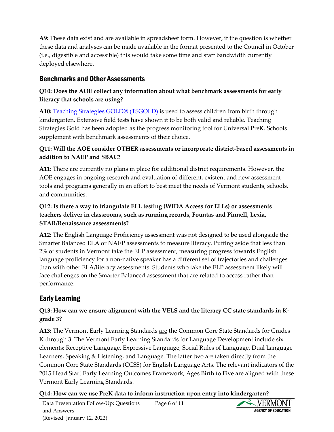**A9:** These data exist and are available in spreadsheet form. However, if the question is whether these data and analyses can be made available in the format presented to the Council in October (i.e., digestible and accessible) this would take some time and staff bandwidth currently deployed elsewhere.

## Benchmarks and Other Assessments

#### **Q10: Does the AOE collect any information about what benchmark assessments for early literacy that schools are using?**

**A10:** [Teaching Strategies GOLD®](https://teachingstrategies.com/solutions/assess/gold/) (TSGOLD) is used to assess children from birth through kindergarten. Extensive field tests have shown it to be both valid and reliable. Teaching Strategies Gold has been adopted as the progress monitoring tool for Universal PreK. Schools supplement with benchmark assessments of their choice.

#### **Q11: Will the AOE consider OTHER assessments or incorporate district-based assessments in addition to NAEP and SBAC?**

**A11**: There are currently no plans in place for additional district requirements. However, the AOE engages in ongoing research and evaluation of different, existent and new assessment tools and programs generally in an effort to best meet the needs of Vermont students, schools, and communities.

#### **Q12: Is there a way to triangulate ELL testing (WIDA Access for ELLs) or assessments teachers deliver in classrooms, such as running records, Fountas and Pinnell, Lexia, STAR/Renaissance assessments?**

**A12:** The English Language Proficiency assessment was not designed to be used alongside the Smarter Balanced ELA or NAEP assessments to measure literacy. Putting aside that less than 2% of students in Vermont take the ELP assessment, measuring progress towards English language proficiency for a non-native speaker has a different set of trajectories and challenges than with other ELA/literacy assessments. Students who take the ELP assessment likely will face challenges on the Smarter Balanced assessment that are related to access rather than performance.

# Early Learning

#### **Q13: How can we ensure alignment with the VELS and the literacy CC state standards in Kgrade 3?**

**A13:** The Vermont Early Learning Standards are the Common Core State Standards for Grades K through 3. The Vermont Early Learning Standards for Language Development include six elements: Receptive Language, Expressive Language, Social Rules of Language, Dual Language Learners, Speaking & Listening, and Language. The latter two are taken directly from the Common Core State Standards (CCSS) for English Language Arts. The relevant indicators of the 2015 Head Start Early Learning Outcomes Framework, Ages Birth to Five are aligned with these Vermont Early Learning Standards.

#### **Q14: How can we use PreK data to inform instruction upon entry into kindergarten?**

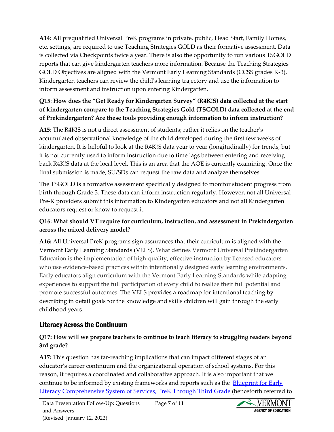**A14:** All prequalified Universal PreK programs in private, public, Head Start, Family Homes, etc. settings, are required to use Teaching Strategies GOLD as their formative assessment. Data is collected via Checkpoints twice a year. There is also the opportunity to run various TSGOLD reports that can give kindergarten teachers more information. Because the Teaching Strategies GOLD Objectives are aligned with the Vermont Early Learning Standards (CCSS grades K-3), Kindergarten teachers can review the child's learning trajectory and use the information to inform assessment and instruction upon entering Kindergarten.

#### **Q15**: **How does the "Get Ready for Kindergarten Survey" (R4K!S) data collected at the start of kindergarten compare to the Teaching Strategies Gold (TSGOLD) data collected at the end of Prekindergarten? Are these tools providing enough information to inform instruction?**

**A15**: The R4K!S is not a direct assessment of students; rather it relies on the teacher's accumulated observational knowledge of the child developed during the first few weeks of kindergarten. It is helpful to look at the R4K!S data year to year (longitudinally) for trends, but it is not currently used to inform instruction due to time lags between entering and receiving back R4K!S data at the local level. This is an area that the AOE is currently examining. Once the final submission is made, SU/SDs can request the raw data and analyze themselves.

The TSGOLD is a formative assessment specifically designed to monitor student progress from birth through Grade 3. These data can inform instruction regularly. However, not all Universal Pre-K providers submit this information to Kindergarten educators and not all Kindergarten educators request or know to request it.

#### **Q16: What should VT require for curriculum, instruction, and assessment in Prekindergarten across the mixed delivery model?**

**A16:** All Universal PreK programs sign assurances that their curriculum is aligned with the Vermont Early Learning Standards (VELS). What defines Vermont Universal Prekindergarten Education is the implementation of high-quality, effective instruction by licensed educators who use evidence-based practices within intentionally designed early learning environments. Early educators align curriculum with the Vermont Early Learning Standards while adapting experiences to support the full participation of every child to realize their full potential and promote successful outcomes. The VELS provides a roadmap for intentional teaching by describing in detail goals for the knowledge and skills children will gain through the early childhood years.

# Literacy Across the Continuum

#### **Q17: How will we prepare teachers to continue to teach literacy to struggling readers beyond 3rd grade?**

**A17:** This question has far-reaching implications that can impact different stages of an educator's career continuum and the organizational operation of school systems. For this reason, it requires a coordinated and collaborative approach. It is also important that we continue to be informed by existing frameworks and reports such as the **Blueprint for Early** [Literacy Comprehensive System of Services, PreK Through Third Grade](https://education.vermont.gov/sites/aoe/files/documents/edu-a-blueprint-for-early-literacy-comprehensive-system-of-services-prek-through-third-grade.pdf) (henceforth referred to

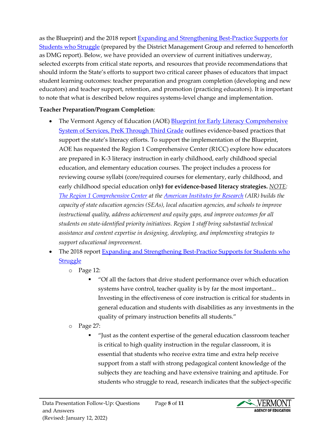as the Blueprint) and the 2018 report [Expanding and Strengthening Best-Practice Supports for](https://education.vermont.gov/documents/legislative-report-expanding-and-strengthening-best-practice-supports-students-who-struggle)  [Students who Struggle](https://education.vermont.gov/documents/legislative-report-expanding-and-strengthening-best-practice-supports-students-who-struggle) (prepared by the District Management Group and referred to henceforth as DMG report). Below, we have provided an overview of current initiatives underway, selected excerpts from critical state reports, and resources that provide recommendations that should inform the State's efforts to support two critical career phases of educators that impact student learning outcomes: teacher preparation and program completion (developing and new educators) and teacher support, retention, and promotion (practicing educators). It is important to note that what is described below requires systems-level change and implementation.

#### **Teacher Preparation/Program Completion**:

- The Vermont Agency of Education (AOE) Blueprint for Early Literacy Comprehensive [System of Services, PreK Through Third Grade](https://education.vermont.gov/documents/edu-a-blueprint-for-early-literacy-comprehensive-system-of-services-prek-through-third-grade) outlines evidence-based practices that support the state's literacy efforts. To support the implementation of the Blueprint, AOE has requested the Region 1 Comprehensive Center (R1CC) explore how educators are prepared in K-3 literacy instruction in early childhood, early childhood special education, and elementary education courses. The project includes a process for reviewing course syllabi (core/required courses for elementary, early childhood, and early childhood special education onl**y) for evidence-based literacy strategies.** *NOTE: [The Region 1 Comprehensive Center](https://region1cc.org/about-us) at the [American Institutes for Research](https://www.air.org/) (AIR) builds the capacity of state education agencies (SEAs), local education agencies, and schools to improve instructional quality, address achievement and equity gaps, and improve outcomes for all students on state-identified priority initiatives. Region 1 staff bring substantial technical assistance and content expertise in designing, developing, and implementing strategies to support educational improvement.*
- The 2018 report Expanding and Strengthening Best-Practice Supports for Students who **[Struggle](https://education.vermont.gov/documents/legislative-report-expanding-and-strengthening-best-practice-supports-students-who-struggle)** 
	- o Page 12:
		- "Of all the factors that drive student performance over which education systems have control, teacher quality is by far the most important... Investing in the effectiveness of core instruction is critical for students in general education and students with disabilities as any investments in the quality of primary instruction benefits all students."
	- o Page 27:
		- "Just as the content expertise of the general education classroom teacher is critical to high quality instruction in the regular classroom, it is essential that students who receive extra time and extra help receive support from a staff with strong pedagogical content knowledge of the subjects they are teaching and have extensive training and aptitude. For students who struggle to read, research indicates that the subject-specific

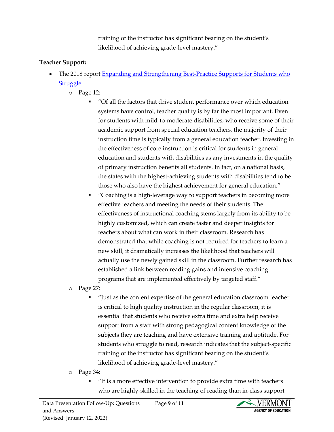training of the instructor has significant bearing on the student's likelihood of achieving grade-level mastery."

#### **Teacher Support:**

- The 2018 report Expanding and Strengthening Best-Practice Supports for Students who **[Struggle](https://education.vermont.gov/documents/legislative-report-expanding-and-strengthening-best-practice-supports-students-who-struggle)** 
	- o Page 12:
		- "Of all the factors that drive student performance over which education systems have control, teacher quality is by far the most important. Even for students with mild-to-moderate disabilities, who receive some of their academic support from special education teachers, the majority of their instruction time is typically from a general education teacher. Investing in the effectiveness of core instruction is critical for students in general education and students with disabilities as any investments in the quality of primary instruction benefits all students. In fact, on a national basis, the states with the highest-achieving students with disabilities tend to be those who also have the highest achievement for general education."
		- "Coaching is a high-leverage way to support teachers in becoming more effective teachers and meeting the needs of their students. The effectiveness of instructional coaching stems largely from its ability to be highly customized, which can create faster and deeper insights for teachers about what can work in their classroom. Research has demonstrated that while coaching is not required for teachers to learn a new skill, it dramatically increases the likelihood that teachers will actually use the newly gained skill in the classroom. Further research has established a link between reading gains and intensive coaching programs that are implemented effectively by targeted staff."
	- o Page 27:
		- "Just as the content expertise of the general education classroom teacher is critical to high quality instruction in the regular classroom, it is essential that students who receive extra time and extra help receive support from a staff with strong pedagogical content knowledge of the subjects they are teaching and have extensive training and aptitude. For students who struggle to read, research indicates that the subject-specific training of the instructor has significant bearing on the student's likelihood of achieving grade-level mastery."
	- o Page 34:
		- "It is a more effective intervention to provide extra time with teachers who are highly-skilled in the teaching of reading than in-class support

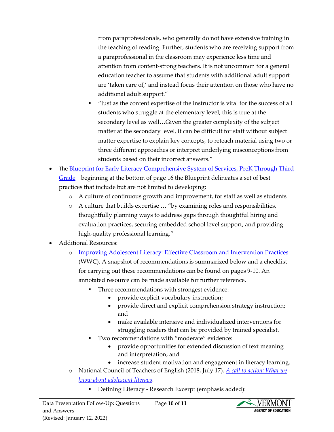from paraprofessionals, who generally do not have extensive training in the teaching of reading. Further, students who are receiving support from a paraprofessional in the classroom may experience less time and attention from content-strong teachers. It is not uncommon for a general education teacher to assume that students with additional adult support are 'taken care of,' and instead focus their attention on those who have no additional adult support."

- "Just as the content expertise of the instructor is vital for the success of all students who struggle at the elementary level, this is true at the secondary level as well…Given the greater complexity of the subject matter at the secondary level, it can be difficult for staff without subject matter expertise to explain key concepts, to reteach material using two or three different approaches or interpret underlying misconceptions from students based on their incorrect answers."
- The **Blueprint for Early Literacy Comprehensive System of Services, PreK Through Third** [Grade](https://education.vermont.gov/documents/edu-a-blueprint-for-early-literacy-comprehensive-system-of-services-prek-through-third-grade) – beginning at the bottom of page 16 the Blueprint delineates a set of best practices that include but are not limited to developing:
	- o A culture of continuous growth and improvement, for staff as well as students
	- o A culture that builds expertise … "by examining roles and responsibilities, thoughtfully planning ways to address gaps through thoughtful hiring and evaluation practices, securing embedded school level support, and providing high-quality professional learning."
- Additional Resources:
	- o [Improving Adolescent Literacy: Effective Classroom and Intervention Practices](https://ies.ed.gov/ncee/wwc/practiceguide/8) (WWC). A snapshot of recommendations is summarized below and a checklist for carrying out these recommendations can be found on pages 9-10. An annotated resource can be made available for further reference.
		- Three recommendations with strongest evidence:
			- provide explicit vocabulary instruction;
			- provide direct and explicit comprehension strategy instruction; and
			- make available intensive and individualized interventions for struggling readers that can be provided by trained specialist.
		- Two recommendations with "moderate" evidence:
			- provide opportunities for extended discussion of text meaning and interpretation; and
			- increase student motivation and engagement in literacy learning.
	- o National Council of Teachers of English (2018, July 17). *[A call to action: What we](https://ncte.org/statement/adolescentliteracy/)  [know about adolescent literacy.](https://ncte.org/statement/adolescentliteracy/)*
		- Defining Literacy Research Excerpt (emphasis added):